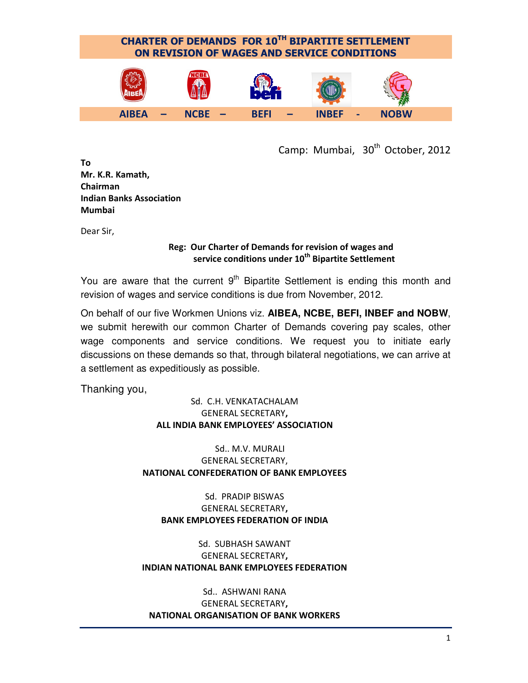

Camp: Mumbai, 30<sup>th</sup> October, 2012

To Mr. K.R. Kamath, Chairman Indian Banks Association Mumbai

Dear Sir,

#### Reg: Our Charter of Demands for revision of wages and service conditions under 10<sup>th</sup> Bipartite Settlement

You are aware that the current  $9<sup>th</sup>$  Bipartite Settlement is ending this month and revision of wages and service conditions is due from November, 2012.

On behalf of our five Workmen Unions viz. **AIBEA, NCBE, BEFI, INBEF and NOBW**, we submit herewith our common Charter of Demands covering pay scales, other wage components and service conditions. We request you to initiate early discussions on these demands so that, through bilateral negotiations, we can arrive at a settlement as expeditiously as possible.

Thanking you,

#### Sd. C.H. VENKATACHALAM GENERAL SECRETARY, ALL INDIA BANK EMPLOYEES' ASSOCIATION

Sd.. M.V. MURALI GENERAL SECRETARY, NATIONAL CONFEDERATION OF BANK EMPLOYEES

Sd. PRADIP BISWAS GENERAL SECRETARY, BANK EMPLOYEES FEDERATION OF INDIA

Sd. SUBHASH SAWANT GENERAL SECRETARY, INDIAN NATIONAL BANK EMPLOYEES FEDERATION

Sd.. ASHWANI RANA GENERAL SECRETARY, NATIONAL ORGANISATION OF BANK WORKERS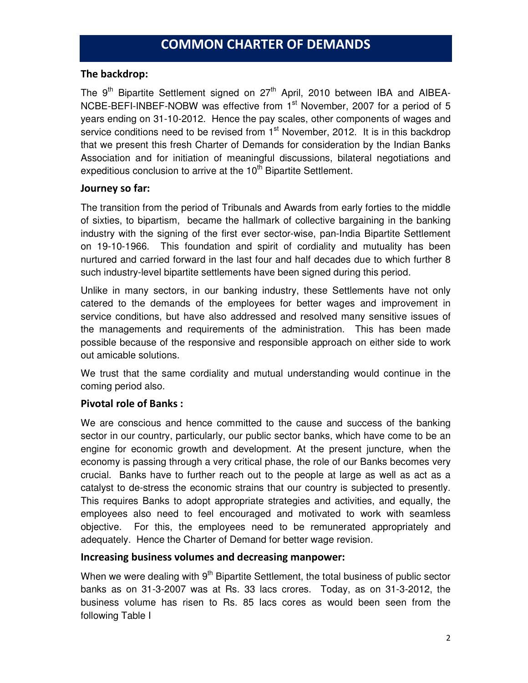#### The backdrop:

The  $9<sup>th</sup>$  Bipartite Settlement signed on  $27<sup>th</sup>$  April, 2010 between IBA and AIBEA-NCBE-BEFI-INBEF-NOBW was effective from 1<sup>st</sup> November, 2007 for a period of 5 years ending on 31-10-2012. Hence the pay scales, other components of wages and service conditions need to be revised from  $1<sup>st</sup>$  November, 2012. It is in this backdrop that we present this fresh Charter of Demands for consideration by the Indian Banks Association and for initiation of meaningful discussions, bilateral negotiations and expeditious conclusion to arrive at the 10<sup>th</sup> Bipartite Settlement.

#### Journey so far:

The transition from the period of Tribunals and Awards from early forties to the middle of sixties, to bipartism, became the hallmark of collective bargaining in the banking industry with the signing of the first ever sector-wise, pan-India Bipartite Settlement on 19-10-1966. This foundation and spirit of cordiality and mutuality has been nurtured and carried forward in the last four and half decades due to which further 8 such industry-level bipartite settlements have been signed during this period.

Unlike in many sectors, in our banking industry, these Settlements have not only catered to the demands of the employees for better wages and improvement in service conditions, but have also addressed and resolved many sensitive issues of the managements and requirements of the administration. This has been made possible because of the responsive and responsible approach on either side to work out amicable solutions.

We trust that the same cordiality and mutual understanding would continue in the coming period also.

#### Pivotal role of Banks :

We are conscious and hence committed to the cause and success of the banking sector in our country, particularly, our public sector banks, which have come to be an engine for economic growth and development. At the present juncture, when the economy is passing through a very critical phase, the role of our Banks becomes very crucial. Banks have to further reach out to the people at large as well as act as a catalyst to de-stress the economic strains that our country is subjected to presently. This requires Banks to adopt appropriate strategies and activities, and equally, the employees also need to feel encouraged and motivated to work with seamless objective. For this, the employees need to be remunerated appropriately and adequately. Hence the Charter of Demand for better wage revision.

#### Increasing business volumes and decreasing manpower:

When we were dealing with 9<sup>th</sup> Bipartite Settlement, the total business of public sector banks as on 31-3-2007 was at Rs. 33 lacs crores. Today, as on 31-3-2012, the business volume has risen to Rs. 85 lacs cores as would been seen from the following Table I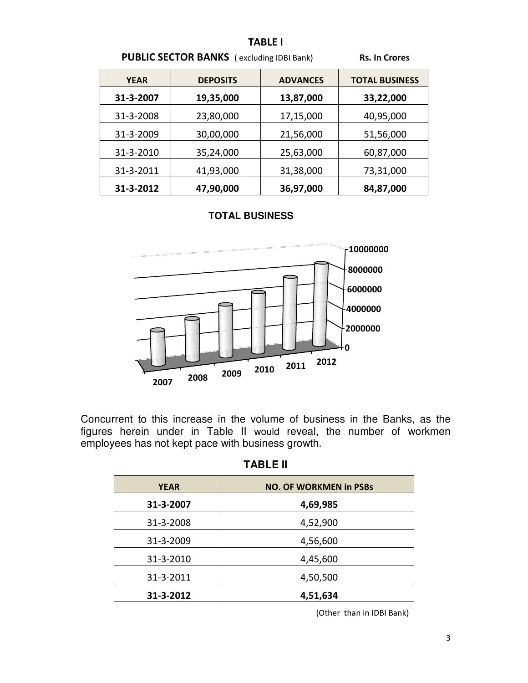|             |                                                  | <b>TABLE I</b>  |                       |
|-------------|--------------------------------------------------|-----------------|-----------------------|
|             | <b>PUBLIC SECTOR BANKS</b> (excluding IDBI Bank) |                 | <b>Rs. In Crores</b>  |
| <b>YEAR</b> | <b>DEPOSITS</b>                                  | <b>ADVANCES</b> | <b>TOTAL BUSINESS</b> |
| 31-3-2007   | 19,35,000                                        | 13,87,000       | 33,22,000             |
| 31-3-2008   | 23,80,000                                        | 17,15,000       | 40,95,000             |
| 31-3-2009   | 30,00,000                                        | 21,56,000       | 51,56,000             |
| 31-3-2010   | 35,24,000                                        | 25,63,000       | 60,87,000             |
| 31-3-2011   | 41,93,000                                        | 31,38,000       | 73,31,000             |
| 31-3-2012   | 47,90,000                                        | 36,97,000       | 84,87,000             |

#### **TOTAL BUSINESS**



Concurrent to this increase in the volume of business in the Banks, as the figures herein under in Table II would reveal, the number of workmen employees has not kept pace with business growth.

**TABLE II** 

| <b>YEAR</b> | <b>NO. OF WORKMEN in PSBs</b> |
|-------------|-------------------------------|
| 31-3-2007   | 4,69,985                      |
| 31-3-2008   | 4,52,900                      |
| 31-3-2009   | 4,56,600                      |
| 31-3-2010   | 4,45,600                      |
| 31-3-2011   | 4,50,500                      |
| 31-3-2012   | 4,51,634                      |

(Other than in IDBI Bank)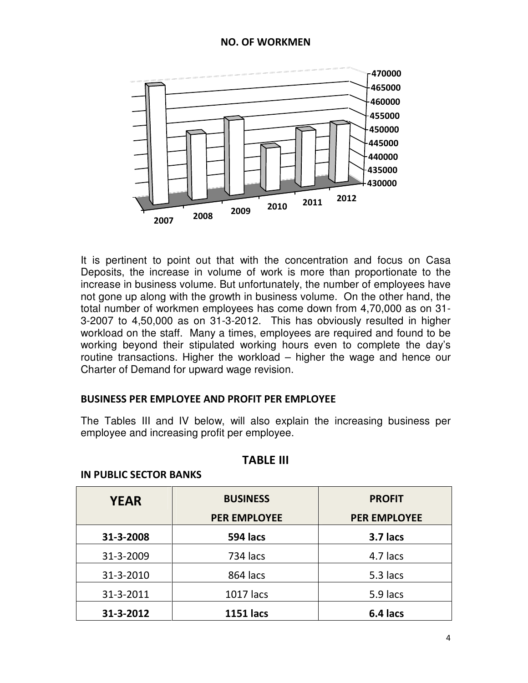

It is pertinent to point out that with the concentration and focus on Casa Deposits, the increase in volume of work is more than proportionate to the increase in business volume. But unfortunately, the number of employees have not gone up along with the growth in business volume. On the other hand, the total number of workmen employees has come down from 4,70,000 as on 31- 3-2007 to 4,50,000 as on 31-3-2012. This has obviously resulted in higher workload on the staff. Many a times, employees are required and found to be working beyond their stipulated working hours even to complete the day's routine transactions. Higher the workload – higher the wage and hence our Charter of Demand for upward wage revision.

#### BUSINESS PER EMPLOYEE AND PROFIT PER EMPLOYEE

The Tables III and IV below, will also explain the increasing business per employee and increasing profit per employee.

#### TABLE III

| <b>YEAR</b> | <b>BUSINESS</b>     | <b>PROFIT</b>       |
|-------------|---------------------|---------------------|
|             | <b>PER EMPLOYEE</b> | <b>PER EMPLOYEE</b> |
| 31-3-2008   | 594 lacs            | 3.7 lacs            |
| 31-3-2009   | 734 lacs            | 4.7 lacs            |
| 31-3-2010   | 864 lacs            | 5.3 lacs            |
| 31-3-2011   | 1017 lacs           | 5.9 lacs            |
| 31-3-2012   | <b>1151 lacs</b>    | 6.4 lacs            |

#### IN PUBLIC SECTOR BANKS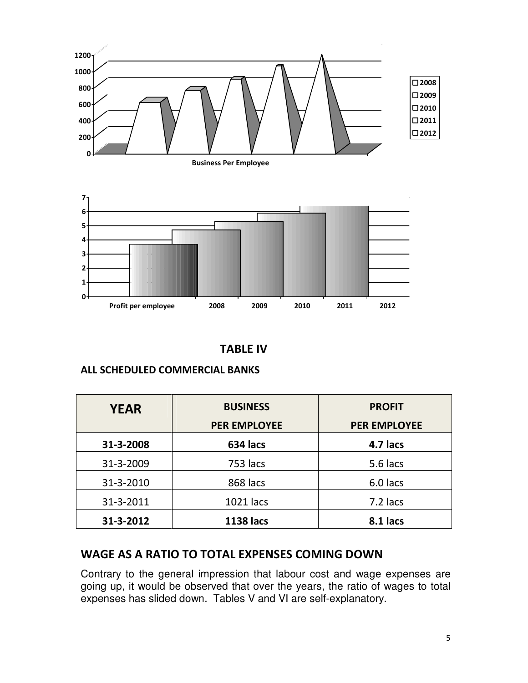

Business Per Employee



# TABLE IV

# ALL SCHEDULED COMMERCIAL BANKS

| <b>YEAR</b> | <b>BUSINESS</b>     | <b>PROFIT</b>       |
|-------------|---------------------|---------------------|
|             | <b>PER EMPLOYEE</b> | <b>PER EMPLOYEE</b> |
| 31-3-2008   | 634 lacs            | 4.7 lacs            |
| 31-3-2009   | 753 lacs            | 5.6 lacs            |
| 31-3-2010   | 868 lacs            | 6.0 lacs            |
| 31-3-2011   | 1021 lacs           | 7.2 lacs            |
| 31-3-2012   | <b>1138 lacs</b>    | 8.1 lacs            |

# WAGE AS A RATIO TO TOTAL EXPENSES COMING DOWN

Contrary to the general impression that labour cost and wage expenses are going up, it would be observed that over the years, the ratio of wages to total expenses has slided down. Tables V and VI are self-explanatory.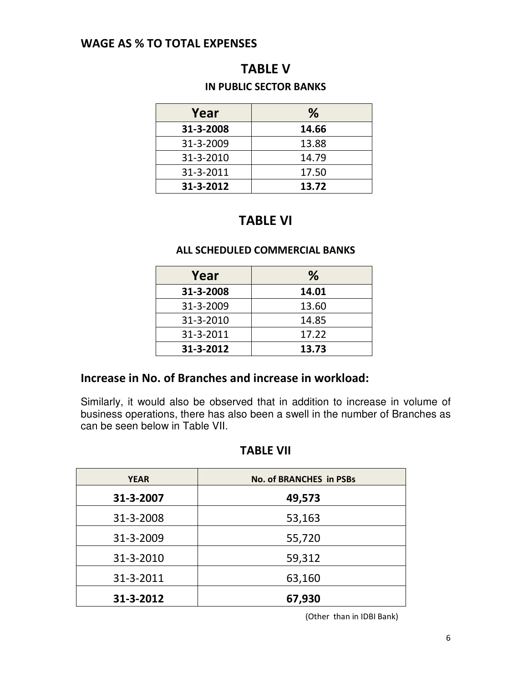# WAGE AS % TO TOTAL EXPENSES

# TABLE V

# IN PUBLIC SECTOR BANKS

| Year      | %     |
|-----------|-------|
| 31-3-2008 | 14.66 |
| 31-3-2009 | 13.88 |
| 31-3-2010 | 14.79 |
| 31-3-2011 | 17.50 |
| 31-3-2012 | 13.72 |

# TABLE VI

#### ALL SCHEDULED COMMERCIAL BANKS

| Year      | %     |
|-----------|-------|
| 31-3-2008 | 14.01 |
| 31-3-2009 | 13.60 |
| 31-3-2010 | 14.85 |
| 31-3-2011 | 17.22 |
| 31-3-2012 | 13.73 |

# Increase in No. of Branches and increase in workload:

Similarly, it would also be observed that in addition to increase in volume of business operations, there has also been a swell in the number of Branches as can be seen below in Table VII.

# TABLE VII

| <b>YEAR</b> | <b>No. of BRANCHES in PSBs</b> |
|-------------|--------------------------------|
| 31-3-2007   | 49,573                         |
| 31-3-2008   | 53,163                         |
| 31-3-2009   | 55,720                         |
| 31-3-2010   | 59,312                         |
| 31-3-2011   | 63,160                         |
| 31-3-2012   | 67,930                         |

(Other than in IDBI Bank)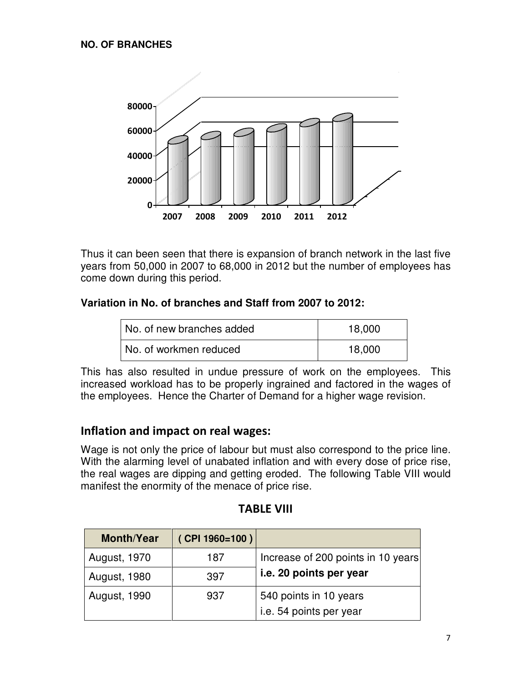

Thus it can been seen that there is expansion of branch network in the last five years from 50,000 in 2007 to 68,000 in 2012 but the number of employees has come down during this period.

# **Variation in No. of branches and Staff from 2007 to 2012:**

| No. of new branches added | 18,000 |
|---------------------------|--------|
| No. of workmen reduced    | 18,000 |

This has also resulted in undue pressure of work on the employees. This increased workload has to be properly ingrained and factored in the wages of the employees. Hence the Charter of Demand for a higher wage revision.

# Inflation and impact on real wages:

Wage is not only the price of labour but must also correspond to the price line. With the alarming level of unabated inflation and with every dose of price rise, the real wages are dipping and getting eroded. The following Table VIII would manifest the enormity of the menace of price rise.

| <b>Month/Year</b>   | (CPI 1960=100) |                                    |
|---------------------|----------------|------------------------------------|
| <b>August, 1970</b> | 187            | Increase of 200 points in 10 years |
| <b>August, 1980</b> | 397            | i.e. 20 points per year            |
| <b>August, 1990</b> | 937            | 540 points in 10 years             |
|                     |                | i.e. 54 points per year            |

# TABLE VIII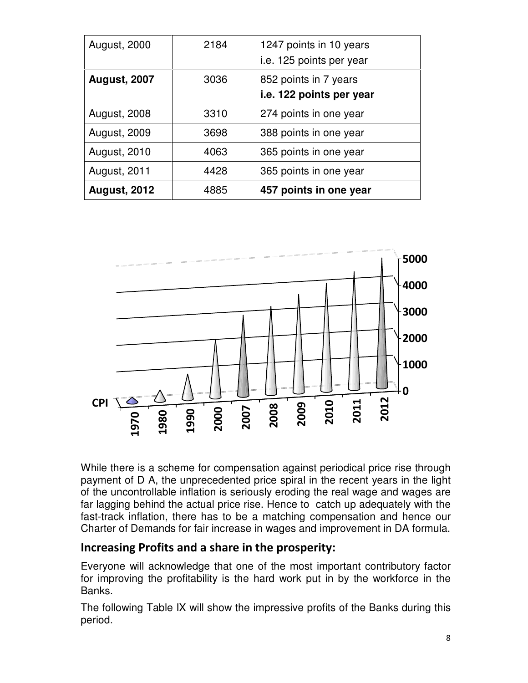| <b>August, 2000</b> | 2184 | 1247 points in 10 years<br>i.e. 125 points per year |
|---------------------|------|-----------------------------------------------------|
| <b>August, 2007</b> | 3036 | 852 points in 7 years<br>i.e. 122 points per year   |
| <b>August, 2008</b> | 3310 | 274 points in one year                              |
| <b>August, 2009</b> | 3698 | 388 points in one year                              |
| <b>August, 2010</b> | 4063 | 365 points in one year                              |
| <b>August, 2011</b> | 4428 | 365 points in one year                              |
| <b>August, 2012</b> | 4885 | 457 points in one year                              |



While there is a scheme for compensation against periodical price rise through payment of D A, the unprecedented price spiral in the recent years in the light of the uncontrollable inflation is seriously eroding the real wage and wages are far lagging behind the actual price rise. Hence to catch up adequately with the fast-track inflation, there has to be a matching compensation and hence our Charter of Demands for fair increase in wages and improvement in DA formula.

# Increasing Profits and a share in the prosperity:

Everyone will acknowledge that one of the most important contributory factor for improving the profitability is the hard work put in by the workforce in the Banks.

The following Table IX will show the impressive profits of the Banks during this period.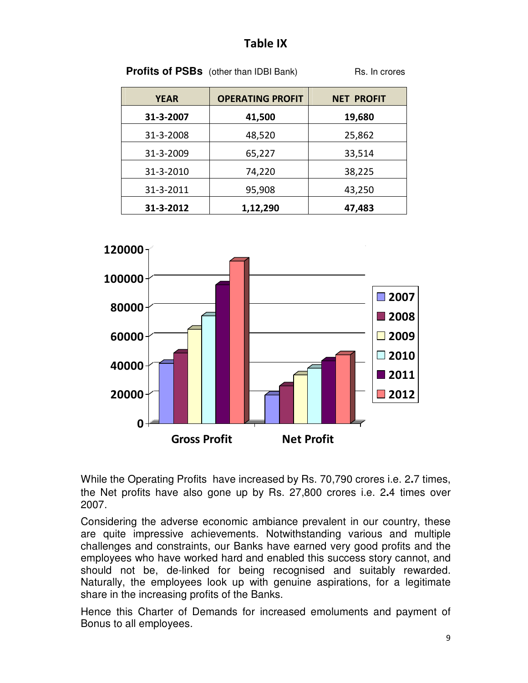# Table IX

**Profits of PSBs** (other than IDBI Bank) Rs. In crores

| <b>YEAR</b> | <b>OPERATING PROFIT</b> | <b>NET PROFIT</b> |
|-------------|-------------------------|-------------------|
| 31-3-2007   | 41,500                  | 19,680            |
| 31-3-2008   | 48,520                  | 25,862            |
| 31-3-2009   | 65,227                  | 33,514            |
| 31-3-2010   | 74,220                  | 38,225            |
| 31-3-2011   | 95,908                  | 43,250            |
| 31-3-2012   | 1,12,290                | 47,483            |



While the Operating Profits have increased by Rs. 70,790 crores i.e. 2**.**7 times, the Net profits have also gone up by Rs. 27,800 crores i.e. 2**.**4 times over 2007.

Considering the adverse economic ambiance prevalent in our country, these are quite impressive achievements. Notwithstanding various and multiple challenges and constraints, our Banks have earned very good profits and the employees who have worked hard and enabled this success story cannot, and should not be, de-linked for being recognised and suitably rewarded. Naturally, the employees look up with genuine aspirations, for a legitimate share in the increasing profits of the Banks.

Hence this Charter of Demands for increased emoluments and payment of Bonus to all employees.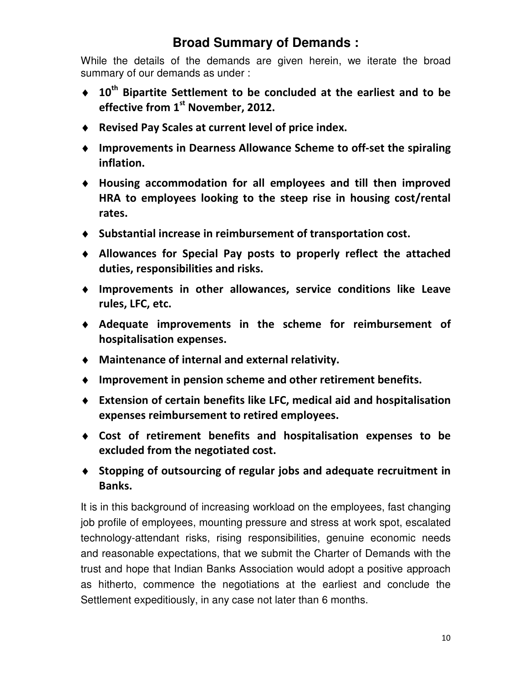# **Broad Summary of Demands :**

While the details of the demands are given herein, we iterate the broad summary of our demands as under :

- $\div$  10<sup>th</sup> Bipartite Settlement to be concluded at the earliest and to be effective from 1<sup>st</sup> November, 2012.
- ♦ Revised Pay Scales at current level of price index.
- ♦ Improvements in Dearness Allowance Scheme to off-set the spiraling inflation.
- ♦ Housing accommodation for all employees and till then improved HRA to employees looking to the steep rise in housing cost/rental rates.
- ♦ Substantial increase in reimbursement of transportation cost.
- ♦ Allowances for Special Pay posts to properly reflect the attached duties, responsibilities and risks.
- ♦ Improvements in other allowances, service conditions like Leave rules, LFC, etc.
- ♦ Adequate improvements in the scheme for reimbursement of hospitalisation expenses.
- ♦ Maintenance of internal and external relativity.
- ♦ Improvement in pension scheme and other retirement benefits.
- ♦ Extension of certain benefits like LFC, medical aid and hospitalisation expenses reimbursement to retired employees.
- ♦ Cost of retirement benefits and hospitalisation expenses to be excluded from the negotiated cost.
- ♦ Stopping of outsourcing of regular jobs and adequate recruitment in Banks.

It is in this background of increasing workload on the employees, fast changing job profile of employees, mounting pressure and stress at work spot, escalated technology-attendant risks, rising responsibilities, genuine economic needs and reasonable expectations, that we submit the Charter of Demands with the trust and hope that Indian Banks Association would adopt a positive approach as hitherto, commence the negotiations at the earliest and conclude the Settlement expeditiously, in any case not later than 6 months.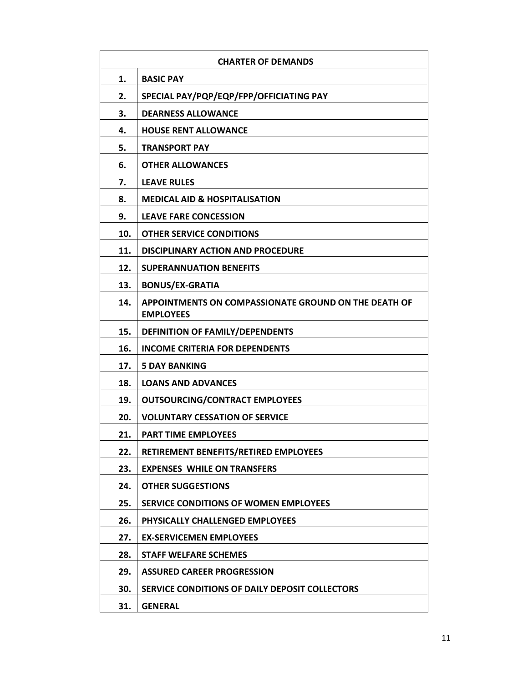|     | <b>CHARTER OF DEMANDS</b>                                                       |
|-----|---------------------------------------------------------------------------------|
| 1.  | <b>BASIC PAY</b>                                                                |
| 2.  | SPECIAL PAY/PQP/EQP/FPP/OFFICIATING PAY                                         |
| 3.  | <b>DEARNESS ALLOWANCE</b>                                                       |
| 4.  | <b>HOUSE RENT ALLOWANCE</b>                                                     |
| 5.  | <b>TRANSPORT PAY</b>                                                            |
| 6.  | <b>OTHER ALLOWANCES</b>                                                         |
| 7.  | <b>LEAVE RULES</b>                                                              |
| 8.  | <b>MEDICAL AID &amp; HOSPITALISATION</b>                                        |
| 9.  | <b>LEAVE FARE CONCESSION</b>                                                    |
| 10. | <b>OTHER SERVICE CONDITIONS</b>                                                 |
| 11. | <b>DISCIPLINARY ACTION AND PROCEDURE</b>                                        |
| 12. | <b>SUPERANNUATION BENEFITS</b>                                                  |
| 13. | <b>BONUS/EX-GRATIA</b>                                                          |
| 14. | <b>APPOINTMENTS ON COMPASSIONATE GROUND ON THE DEATH OF</b><br><b>EMPLOYEES</b> |
| 15. | <b>DEFINITION OF FAMILY/DEPENDENTS</b>                                          |
| 16. | <b>INCOME CRITERIA FOR DEPENDENTS</b>                                           |
| 17. | <b>5 DAY BANKING</b>                                                            |
| 18. | <b>LOANS AND ADVANCES</b>                                                       |
| 19. | <b>OUTSOURCING/CONTRACT EMPLOYEES</b>                                           |
| 20. | <b>VOLUNTARY CESSATION OF SERVICE</b>                                           |
| 21. | <b>PART TIME EMPLOYEES</b>                                                      |
| 22. | RETIREMENT BENEFITS/RETIRED EMPLOYEES                                           |
| 23. | <b>EXPENSES WHILE ON TRANSFERS</b>                                              |
| 24. | <b>OTHER SUGGESTIONS</b>                                                        |
| 25. | SERVICE CONDITIONS OF WOMEN EMPLOYEES                                           |
| 26. | <b>PHYSICALLY CHALLENGED EMPLOYEES</b>                                          |
| 27. | <b>EX-SERVICEMEN EMPLOYEES</b>                                                  |
| 28. | <b>STAFF WELFARE SCHEMES</b>                                                    |
| 29. | <b>ASSURED CAREER PROGRESSION</b>                                               |
| 30. | SERVICE CONDITIONS OF DAILY DEPOSIT COLLECTORS                                  |
| 31. | <b>GENERAL</b>                                                                  |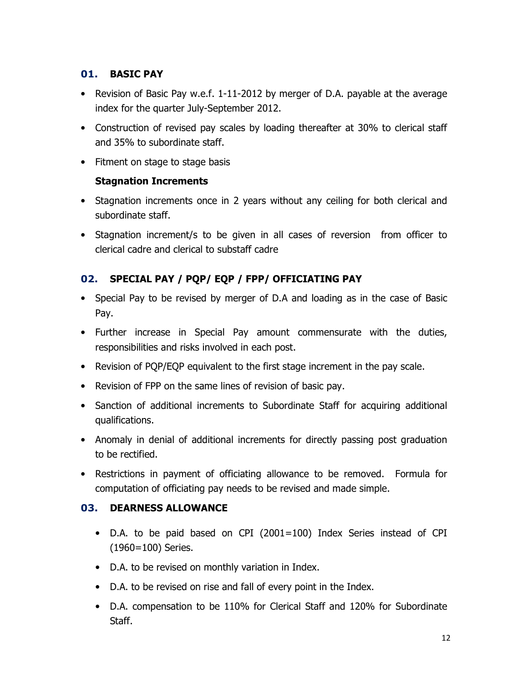# 01. BASIC PAY

- Revision of Basic Pay w.e.f. 1-11-2012 by merger of D.A. payable at the average index for the quarter July-September 2012.
- Construction of revised pay scales by loading thereafter at 30% to clerical staff and 35% to subordinate staff.
- Fitment on stage to stage basis

# Stagnation Increments

- Stagnation increments once in 2 years without any ceiling for both clerical and subordinate staff.
- Stagnation increment/s to be given in all cases of reversion from officer to clerical cadre and clerical to substaff cadre

# 02. SPECIAL PAY / PQP/ EQP / FPP/ OFFICIATING PAY

- Special Pay to be revised by merger of D.A and loading as in the case of Basic Pay.
- Further increase in Special Pay amount commensurate with the duties, responsibilities and risks involved in each post.
- Revision of PQP/EQP equivalent to the first stage increment in the pay scale.
- Revision of FPP on the same lines of revision of basic pay.
- Sanction of additional increments to Subordinate Staff for acquiring additional qualifications.
- Anomaly in denial of additional increments for directly passing post graduation to be rectified.
- Restrictions in payment of officiating allowance to be removed. Formula for computation of officiating pay needs to be revised and made simple.

# 03. DEARNESS ALLOWANCE

- D.A. to be paid based on CPI (2001=100) Index Series instead of CPI (1960=100) Series.
- D.A. to be revised on monthly variation in Index.
- D.A. to be revised on rise and fall of every point in the Index.
- D.A. compensation to be 110% for Clerical Staff and 120% for Subordinate Staff.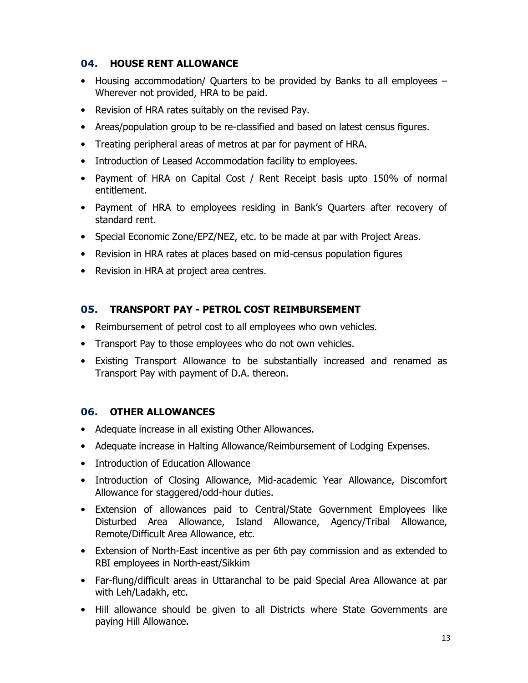#### 04. HOUSE RENT ALLOWANCE

- Housing accommodation/ Quarters to be provided by Banks to all employees Wherever not provided, HRA to be paid.
- Revision of HRA rates suitably on the revised Pay.
- Areas/population group to be re-classified and based on latest census figures.
- Treating peripheral areas of metros at par for payment of HRA.
- Introduction of Leased Accommodation facility to employees.
- Payment of HRA on Capital Cost / Rent Receipt basis upto 150% of normal entitlement.
- Payment of HRA to employees residing in Bank's Quarters after recovery of standard rent.
- Special Economic Zone/EPZ/NEZ, etc. to be made at par with Project Areas.
- Revision in HRA rates at places based on mid-census population figures
- Revision in HRA at project area centres.

# 05. TRANSPORT PAY - PETROL COST REIMBURSEMENT

- Reimbursement of petrol cost to all employees who own vehicles.
- Transport Pay to those employees who do not own vehicles.
- Existing Transport Allowance to be substantially increased and renamed as Transport Pay with payment of D.A. thereon.

# 06. OTHER ALLOWANCES

- Adequate increase in all existing Other Allowances.
- Adequate increase in Halting Allowance/Reimbursement of Lodging Expenses.
- Introduction of Education Allowance
- Introduction of Closing Allowance, Mid-academic Year Allowance, Discomfort Allowance for staggered/odd-hour duties.
- Extension of allowances paid to Central/State Government Employees like Disturbed Area Allowance, Island Allowance, Agency/Tribal Allowance, Remote/Difficult Area Allowance, etc.
- Extension of North-East incentive as per 6th pay commission and as extended to RBI employees in North-east/Sikkim
- Far-flung/difficult areas in Uttaranchal to be paid Special Area Allowance at par with Leh/Ladakh, etc.
- Hill allowance should be given to all Districts where State Governments are paying Hill Allowance.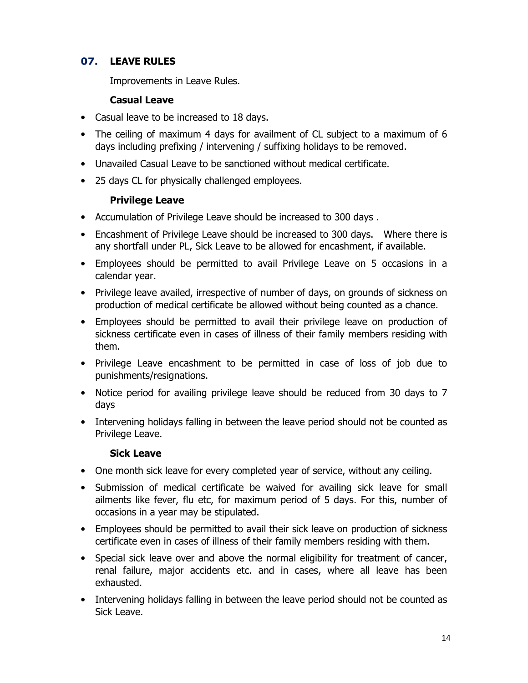# 07. LEAVE RULES

Improvements in Leave Rules.

#### Casual Leave

- Casual leave to be increased to 18 days.
- The ceiling of maximum 4 days for availment of CL subject to a maximum of 6 days including prefixing / intervening / suffixing holidays to be removed.
- Unavailed Casual Leave to be sanctioned without medical certificate.
- 25 days CL for physically challenged employees.

#### Privilege Leave

- Accumulation of Privilege Leave should be increased to 300 days .
- Encashment of Privilege Leave should be increased to 300 days. Where there is any shortfall under PL, Sick Leave to be allowed for encashment, if available.
- Employees should be permitted to avail Privilege Leave on 5 occasions in a calendar year.
- Privilege leave availed, irrespective of number of days, on grounds of sickness on production of medical certificate be allowed without being counted as a chance.
- Employees should be permitted to avail their privilege leave on production of sickness certificate even in cases of illness of their family members residing with them.
- Privilege Leave encashment to be permitted in case of loss of job due to punishments/resignations.
- Notice period for availing privilege leave should be reduced from 30 days to 7 days
- Intervening holidays falling in between the leave period should not be counted as Privilege Leave.

#### Sick Leave

- One month sick leave for every completed year of service, without any ceiling.
- Submission of medical certificate be waived for availing sick leave for small ailments like fever, flu etc, for maximum period of 5 days. For this, number of occasions in a year may be stipulated.
- Employees should be permitted to avail their sick leave on production of sickness certificate even in cases of illness of their family members residing with them.
- Special sick leave over and above the normal eligibility for treatment of cancer, renal failure, major accidents etc. and in cases, where all leave has been exhausted.
- Intervening holidays falling in between the leave period should not be counted as Sick Leave.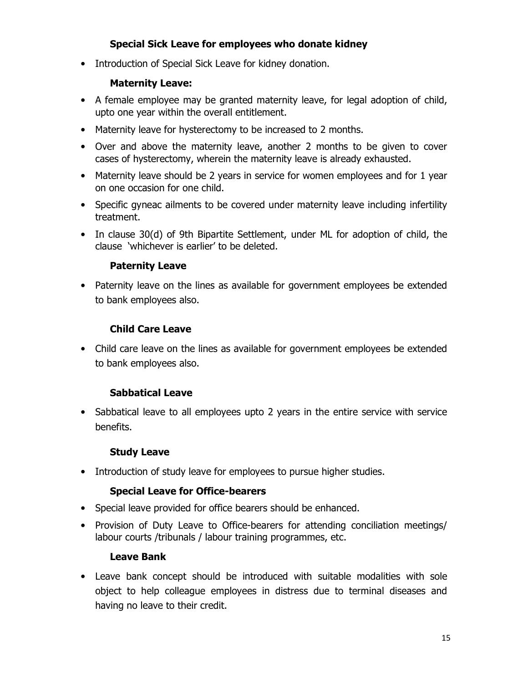# Special Sick Leave for employees who donate kidney

• Introduction of Special Sick Leave for kidney donation.

# Maternity Leave:

- A female employee may be granted maternity leave, for legal adoption of child, upto one year within the overall entitlement.
- Maternity leave for hysterectomy to be increased to 2 months.
- Over and above the maternity leave, another 2 months to be given to cover cases of hysterectomy, wherein the maternity leave is already exhausted.
- Maternity leave should be 2 years in service for women employees and for 1 year on one occasion for one child.
- Specific gyneac ailments to be covered under maternity leave including infertility treatment.
- In clause 30(d) of 9th Bipartite Settlement, under ML for adoption of child, the clause 'whichever is earlier' to be deleted.

#### Paternity Leave

• Paternity leave on the lines as available for government employees be extended to bank employees also.

# Child Care Leave

• Child care leave on the lines as available for government employees be extended to bank employees also.

# Sabbatical Leave

• Sabbatical leave to all employees upto 2 years in the entire service with service benefits.

#### Study Leave

• Introduction of study leave for employees to pursue higher studies.

# Special Leave for Office-bearers

- Special leave provided for office bearers should be enhanced.
- Provision of Duty Leave to Office-bearers for attending conciliation meetings/ labour courts /tribunals / labour training programmes, etc.

#### Leave Bank

• Leave bank concept should be introduced with suitable modalities with sole object to help colleague employees in distress due to terminal diseases and having no leave to their credit.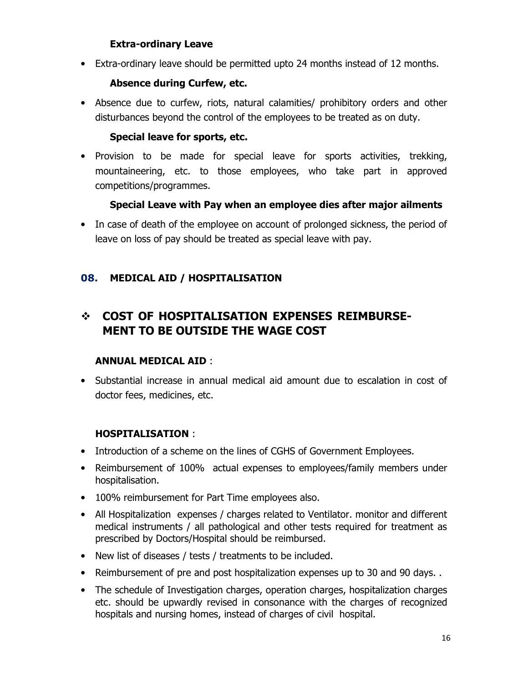#### Extra-ordinary Leave

• Extra-ordinary leave should be permitted upto 24 months instead of 12 months.

#### Absence during Curfew, etc.

• Absence due to curfew, riots, natural calamities/ prohibitory orders and other disturbances beyond the control of the employees to be treated as on duty.

#### Special leave for sports, etc.

• Provision to be made for special leave for sports activities, trekking, mountaineering, etc. to those employees, who take part in approved competitions/programmes.

#### Special Leave with Pay when an employee dies after major ailments

• In case of death of the employee on account of prolonged sickness, the period of leave on loss of pay should be treated as special leave with pay.

# 08. MEDICAL AID / HOSPITALISATION

# COST OF HOSPITALISATION EXPENSES REIMBURSE-MENT TO BE OUTSIDE THE WAGE COST

#### ANNUAL MEDICAL AID :

• Substantial increase in annual medical aid amount due to escalation in cost of doctor fees, medicines, etc.

# HOSPITALISATION :

- Introduction of a scheme on the lines of CGHS of Government Employees.
- Reimbursement of 100% actual expenses to employees/family members under hospitalisation.
- 100% reimbursement for Part Time employees also.
- All Hospitalization expenses / charges related to Ventilator. monitor and different medical instruments / all pathological and other tests required for treatment as prescribed by Doctors/Hospital should be reimbursed.
- New list of diseases / tests / treatments to be included.
- Reimbursement of pre and post hospitalization expenses up to 30 and 90 days. .
- The schedule of Investigation charges, operation charges, hospitalization charges etc. should be upwardly revised in consonance with the charges of recognized hospitals and nursing homes, instead of charges of civil hospital.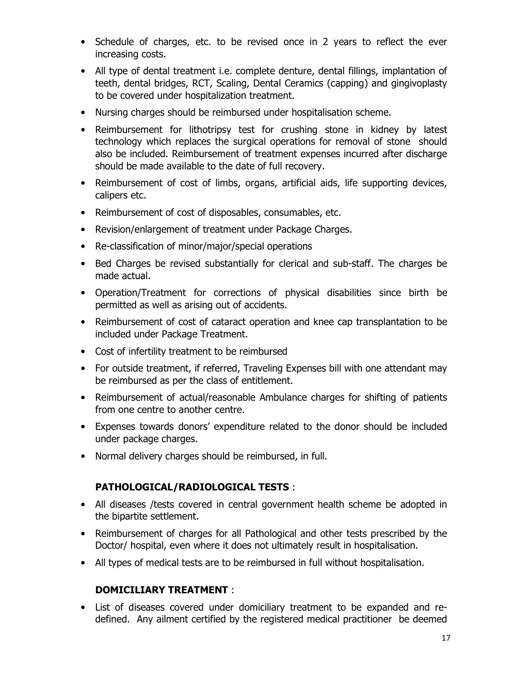- Schedule of charges, etc. to be revised once in 2 years to reflect the ever increasing costs.
- All type of dental treatment i.e. complete denture, dental fillings, implantation of teeth, dental bridges, RCT, Scaling, Dental Ceramics (capping) and gingivoplasty to be covered under hospitalization treatment.
- Nursing charges should be reimbursed under hospitalisation scheme.
- Reimbursement for lithotripsy test for crushing stone in kidney by latest technology which replaces the surgical operations for removal of stone should also be included. Reimbursement of treatment expenses incurred after discharge should be made available to the date of full recovery.
- Reimbursement of cost of limbs, organs, artificial aids, life supporting devices, calipers etc.
- Reimbursement of cost of disposables, consumables, etc.
- Revision/enlargement of treatment under Package Charges.
- Re-classification of minor/major/special operations
- Bed Charges be revised substantially for clerical and sub-staff. The charges be made actual.
- Operation/Treatment for corrections of physical disabilities since birth be permitted as well as arising out of accidents.
- Reimbursement of cost of cataract operation and knee cap transplantation to be included under Package Treatment.
- Cost of infertility treatment to be reimbursed
- For outside treatment, if referred, Traveling Expenses bill with one attendant may be reimbursed as per the class of entitlement.
- Reimbursement of actual/reasonable Ambulance charges for shifting of patients from one centre to another centre.
- Expenses towards donors' expenditure related to the donor should be included under package charges.
- Normal delivery charges should be reimbursed, in full.

# PATHOLOGICAL/RADIOLOGICAL TESTS :

- All diseases /tests covered in central government health scheme be adopted in the bipartite settlement.
- Reimbursement of charges for all Pathological and other tests prescribed by the Doctor/ hospital, even where it does not ultimately result in hospitalisation.
- All types of medical tests are to be reimbursed in full without hospitalisation.

# DOMICILIARY TREATMENT :

• List of diseases covered under domiciliary treatment to be expanded and redefined. Any ailment certified by the registered medical practitioner be deemed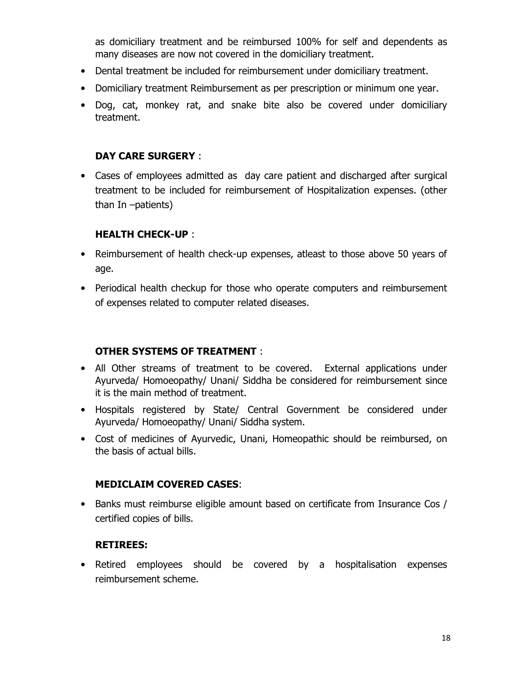as domiciliary treatment and be reimbursed 100% for self and dependents as many diseases are now not covered in the domiciliary treatment.

- Dental treatment be included for reimbursement under domiciliary treatment.
- Domiciliary treatment Reimbursement as per prescription or minimum one year.
- Dog, cat, monkey rat, and snake bite also be covered under domiciliary treatment.

#### DAY CARE SURGERY :

• Cases of employees admitted as day care patient and discharged after surgical treatment to be included for reimbursement of Hospitalization expenses. (other than In –patients)

#### HEALTH CHECK-UP :

- Reimbursement of health check-up expenses, atleast to those above 50 years of age.
- Periodical health checkup for those who operate computers and reimbursement of expenses related to computer related diseases.

#### OTHER SYSTEMS OF TREATMENT :

- All Other streams of treatment to be covered. External applications under Ayurveda/ Homoeopathy/ Unani/ Siddha be considered for reimbursement since it is the main method of treatment.
- Hospitals registered by State/ Central Government be considered under Ayurveda/ Homoeopathy/ Unani/ Siddha system.
- Cost of medicines of Ayurvedic, Unani, Homeopathic should be reimbursed, on the basis of actual bills.

#### MEDICLAIM COVERED CASES:

• Banks must reimburse eligible amount based on certificate from Insurance Cos / certified copies of bills.

#### RETIREES:

• Retired employees should be covered by a hospitalisation expenses reimbursement scheme.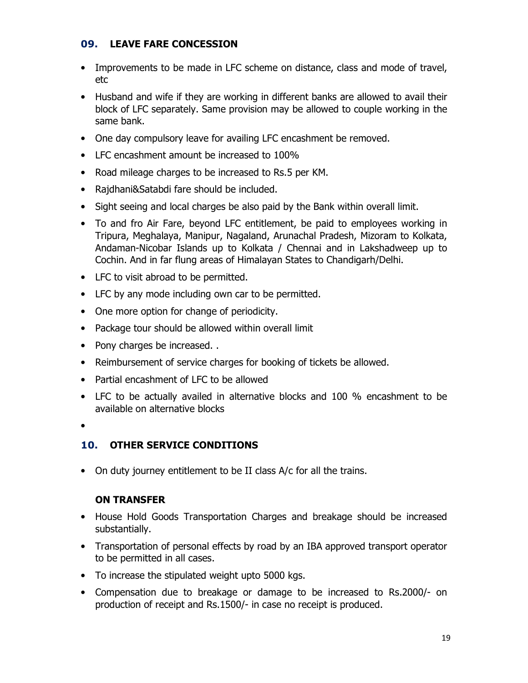#### 09. LEAVE FARE CONCESSION

- Improvements to be made in LFC scheme on distance, class and mode of travel, etc
- Husband and wife if they are working in different banks are allowed to avail their block of LFC separately. Same provision may be allowed to couple working in the same bank.
- One day compulsory leave for availing LFC encashment be removed.
- LFC encashment amount be increased to 100%
- Road mileage charges to be increased to Rs.5 per KM.
- Rajdhani&Satabdi fare should be included.
- Sight seeing and local charges be also paid by the Bank within overall limit.
- To and fro Air Fare, beyond LFC entitlement, be paid to employees working in Tripura, Meghalaya, Manipur, Nagaland, Arunachal Pradesh, Mizoram to Kolkata, Andaman-Nicobar Islands up to Kolkata / Chennai and in Lakshadweep up to Cochin. And in far flung areas of Himalayan States to Chandigarh/Delhi.
- LFC to visit abroad to be permitted.
- LFC by any mode including own car to be permitted.
- One more option for change of periodicity.
- Package tour should be allowed within overall limit
- Pony charges be increased..
- Reimbursement of service charges for booking of tickets be allowed.
- Partial encashment of LFC to be allowed
- LFC to be actually availed in alternative blocks and 100 % encashment to be available on alternative blocks
- •

# 10. OTHER SERVICE CONDITIONS

• On duty journey entitlement to be II class A/c for all the trains.

# ON TRANSFER

- House Hold Goods Transportation Charges and breakage should be increased substantially.
- Transportation of personal effects by road by an IBA approved transport operator to be permitted in all cases.
- To increase the stipulated weight upto 5000 kgs.
- Compensation due to breakage or damage to be increased to Rs.2000/- on production of receipt and Rs.1500/- in case no receipt is produced.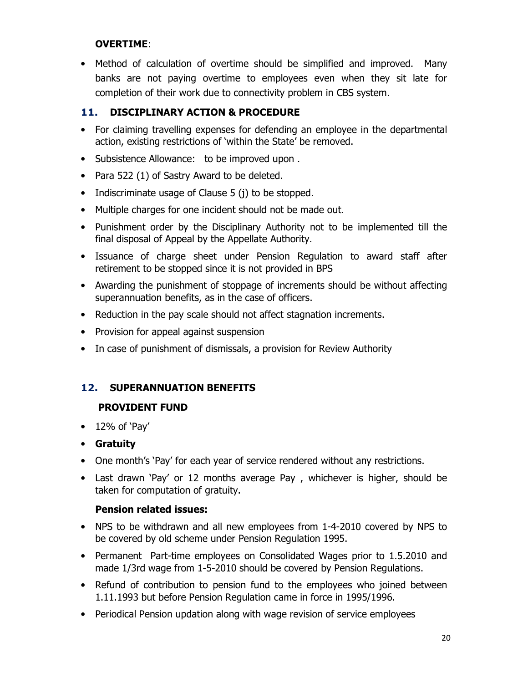#### OVERTIME:

• Method of calculation of overtime should be simplified and improved. Many banks are not paying overtime to employees even when they sit late for completion of their work due to connectivity problem in CBS system.

# 11. DISCIPLINARY ACTION & PROCEDURE

- For claiming travelling expenses for defending an employee in the departmental action, existing restrictions of 'within the State' be removed.
- Subsistence Allowance: to be improved upon .
- Para 522 (1) of Sastry Award to be deleted.
- Indiscriminate usage of Clause 5 (j) to be stopped.
- Multiple charges for one incident should not be made out.
- Punishment order by the Disciplinary Authority not to be implemented till the final disposal of Appeal by the Appellate Authority.
- Issuance of charge sheet under Pension Regulation to award staff after retirement to be stopped since it is not provided in BPS
- Awarding the punishment of stoppage of increments should be without affecting superannuation benefits, as in the case of officers.
- Reduction in the pay scale should not affect stagnation increments.
- Provision for appeal against suspension
- In case of punishment of dismissals, a provision for Review Authority

# 12. SUPERANNUATION BENEFITS

# PROVIDENT FUND

- $\bullet$  12% of 'Pay'
- Gratuity
- One month's 'Pay' for each year of service rendered without any restrictions.
- Last drawn 'Pay' or 12 months average Pay , whichever is higher, should be taken for computation of gratuity.

#### Pension related issues:

- NPS to be withdrawn and all new employees from 1-4-2010 covered by NPS to be covered by old scheme under Pension Regulation 1995.
- Permanent Part-time employees on Consolidated Wages prior to 1.5.2010 and made 1/3rd wage from 1-5-2010 should be covered by Pension Regulations.
- Refund of contribution to pension fund to the employees who joined between 1.11.1993 but before Pension Regulation came in force in 1995/1996.
- Periodical Pension updation along with wage revision of service employees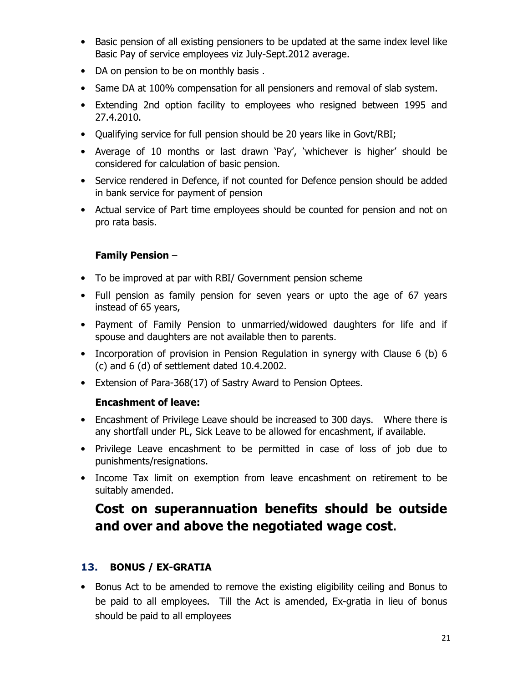- Basic pension of all existing pensioners to be updated at the same index level like Basic Pay of service employees viz July-Sept.2012 average.
- DA on pension to be on monthly basis .
- Same DA at 100% compensation for all pensioners and removal of slab system.
- Extending 2nd option facility to employees who resigned between 1995 and 27.4.2010.
- Qualifying service for full pension should be 20 years like in Govt/RBI;
- Average of 10 months or last drawn 'Pay', 'whichever is higher' should be considered for calculation of basic pension.
- Service rendered in Defence, if not counted for Defence pension should be added in bank service for payment of pension
- Actual service of Part time employees should be counted for pension and not on pro rata basis.

#### Family Pension –

- To be improved at par with RBI/ Government pension scheme
- Full pension as family pension for seven years or upto the age of 67 years instead of 65 years,
- Payment of Family Pension to unmarried/widowed daughters for life and if spouse and daughters are not available then to parents.
- Incorporation of provision in Pension Regulation in synergy with Clause 6 (b) 6 (c) and 6 (d) of settlement dated 10.4.2002.
- Extension of Para-368(17) of Sastry Award to Pension Optees.

#### Encashment of leave:

- Encashment of Privilege Leave should be increased to 300 days. Where there is any shortfall under PL, Sick Leave to be allowed for encashment, if available.
- Privilege Leave encashment to be permitted in case of loss of job due to punishments/resignations.
- Income Tax limit on exemption from leave encashment on retirement to be suitably amended.

# Cost on superannuation benefits should be outside and over and above the negotiated wage cost.

# 13. BONUS / EX-GRATIA

• Bonus Act to be amended to remove the existing eligibility ceiling and Bonus to be paid to all employees. Till the Act is amended, Ex-gratia in lieu of bonus should be paid to all employees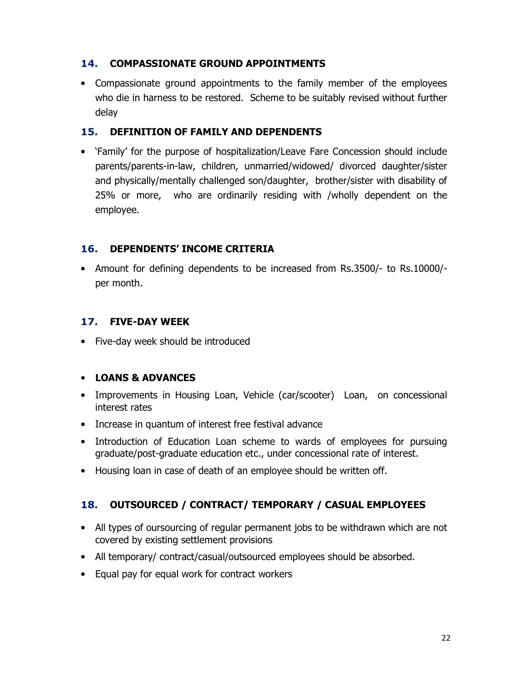#### 14. COMPASSIONATE GROUND APPOINTMENTS

• Compassionate ground appointments to the family member of the employees who die in harness to be restored. Scheme to be suitably revised without further delay

#### 15. DEFINITION OF FAMILY AND DEPENDENTS

• 'Family' for the purpose of hospitalization/Leave Fare Concession should include parents/parents-in-law, children, unmarried/widowed/ divorced daughter/sister and physically/mentally challenged son/daughter, brother/sister with disability of 25% or more, who are ordinarily residing with /wholly dependent on the employee.

# 16. DEPENDENTS' INCOME CRITERIA

• Amount for defining dependents to be increased from Rs.3500/- to Rs.10000/ per month.

# 17. FIVE-DAY WEEK

• Five-day week should be introduced

#### • LOANS & ADVANCES

- Improvements in Housing Loan, Vehicle (car/scooter) Loan, on concessional interest rates
- Increase in quantum of interest free festival advance
- Introduction of Education Loan scheme to wards of employees for pursuing graduate/post-graduate education etc., under concessional rate of interest.
- Housing loan in case of death of an employee should be written off.

# 18. OUTSOURCED / CONTRACT/ TEMPORARY / CASUAL EMPLOYEES

- All types of oursourcing of regular permanent jobs to be withdrawn which are not covered by existing settlement provisions
- All temporary/ contract/casual/outsourced employees should be absorbed.
- Equal pay for equal work for contract workers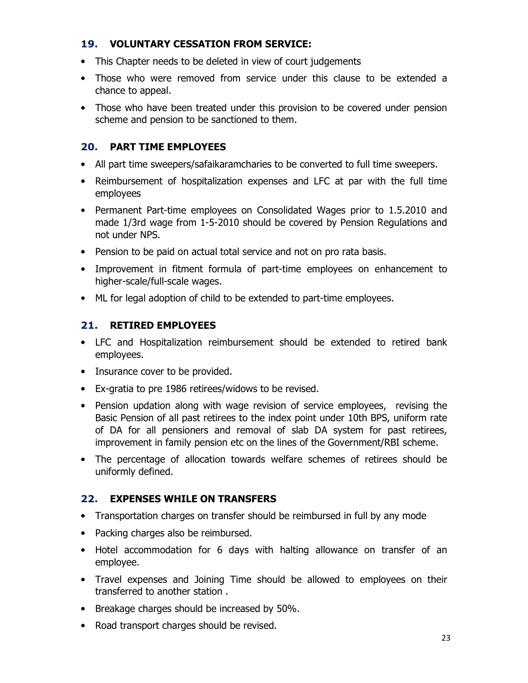#### 19. VOLUNTARY CESSATION FROM SERVICE:

- This Chapter needs to be deleted in view of court judgements
- Those who were removed from service under this clause to be extended a chance to appeal.
- Those who have been treated under this provision to be covered under pension scheme and pension to be sanctioned to them.

# 20. PART TIME EMPLOYEES

- All part time sweepers/safaikaramcharies to be converted to full time sweepers.
- Reimbursement of hospitalization expenses and LFC at par with the full time employees
- Permanent Part-time employees on Consolidated Wages prior to 1.5.2010 and made 1/3rd wage from 1-5-2010 should be covered by Pension Regulations and not under NPS.
- Pension to be paid on actual total service and not on pro rata basis.
- Improvement in fitment formula of part-time employees on enhancement to higher-scale/full-scale wages.
- ML for legal adoption of child to be extended to part-time employees.

# 21. RETIRED EMPLOYEES

- LFC and Hospitalization reimbursement should be extended to retired bank employees.
- Insurance cover to be provided.
- Ex-gratia to pre 1986 retirees/widows to be revised.
- Pension updation along with wage revision of service employees, revising the Basic Pension of all past retirees to the index point under 10th BPS, uniform rate of DA for all pensioners and removal of slab DA system for past retirees, improvement in family pension etc on the lines of the Government/RBI scheme.
- The percentage of allocation towards welfare schemes of retirees should be uniformly defined.

# 22. EXPENSES WHILE ON TRANSFERS

- Transportation charges on transfer should be reimbursed in full by any mode
- Packing charges also be reimbursed.
- Hotel accommodation for 6 days with halting allowance on transfer of an employee.
- Travel expenses and Joining Time should be allowed to employees on their transferred to another station .
- Breakage charges should be increased by 50%.
- Road transport charges should be revised.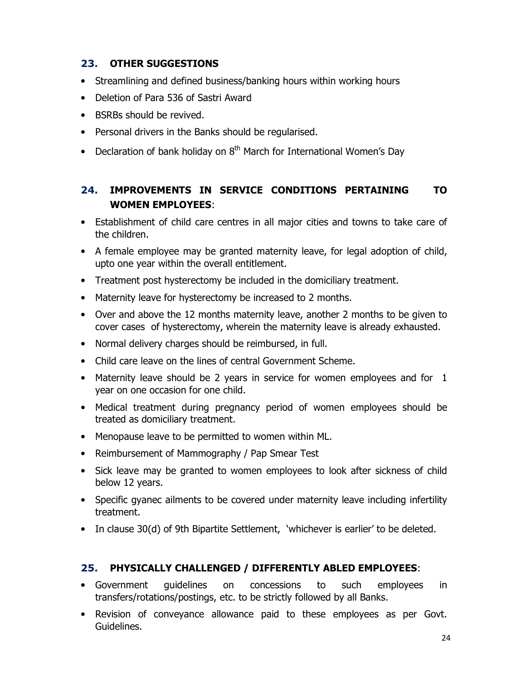# 23. OTHER SUGGESTIONS

- Streamlining and defined business/banking hours within working hours
- Deletion of Para 536 of Sastri Award
- BSRBs should be revived.
- Personal drivers in the Banks should be regularised.
- Declaration of bank holiday on  $8<sup>th</sup>$  March for International Women's Day

# 24. IMPROVEMENTS IN SERVICE CONDITIONS PERTAINING TO WOMEN EMPLOYEES:

- Establishment of child care centres in all major cities and towns to take care of the children.
- A female employee may be granted maternity leave, for legal adoption of child, upto one year within the overall entitlement.
- Treatment post hysterectomy be included in the domiciliary treatment.
- Maternity leave for hysterectomy be increased to 2 months.
- Over and above the 12 months maternity leave, another 2 months to be given to cover cases of hysterectomy, wherein the maternity leave is already exhausted.
- Normal delivery charges should be reimbursed, in full.
- Child care leave on the lines of central Government Scheme.
- Maternity leave should be 2 years in service for women employees and for 1 year on one occasion for one child.
- Medical treatment during pregnancy period of women employees should be treated as domiciliary treatment.
- Menopause leave to be permitted to women within ML.
- Reimbursement of Mammography / Pap Smear Test
- Sick leave may be granted to women employees to look after sickness of child below 12 years.
- Specific gyanec ailments to be covered under maternity leave including infertility treatment.
- In clause 30(d) of 9th Bipartite Settlement, 'whichever is earlier' to be deleted.

#### 25. PHYSICALLY CHALLENGED / DIFFERENTLY ABLED EMPLOYEES:

- Government guidelines on concessions to such employees in transfers/rotations/postings, etc. to be strictly followed by all Banks.
- Revision of conveyance allowance paid to these employees as per Govt. Guidelines.